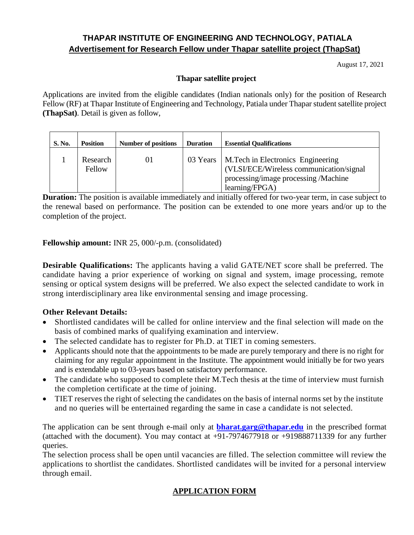# **THAPAR INSTITUTE OF ENGINEERING AND TECHNOLOGY, PATIALA Advertisement for Research Fellow under Thapar satellite project (ThapSat)**

August 17, 2021

### **Thapar satellite project**

Applications are invited from the eligible candidates (Indian nationals only) for the position of Research Fellow (RF) at Thapar Institute of Engineering and Technology, Patiala under Thapar student satellite project **(ThapSat)**. Detail is given as follow,

| <b>S. No.</b> | <b>Position</b>    | <b>Number of positions</b> | <b>Duration</b> | <b>Essential Qualifications</b>                                                                                                                    |
|---------------|--------------------|----------------------------|-----------------|----------------------------------------------------------------------------------------------------------------------------------------------------|
|               | Research<br>Fellow | 01                         |                 | 03 Years   M.Tech in Electronics Engineering<br>(VLSI/ECE/Wireless communication/signal)<br>processing/image processing /Machine<br>learning/FPGA) |

**Duration:** The position is available immediately and initially offered for two-year term, in case subject to the renewal based on performance. The position can be extended to one more years and/or up to the completion of the project.

**Fellowship amount:** INR 25, 000/-p.m. (consolidated)

**Desirable Qualifications:** The applicants having a valid GATE/NET score shall be preferred. The candidate having a prior experience of working on signal and system, image processing, remote sensing or optical system designs will be preferred. We also expect the selected candidate to work in strong interdisciplinary area like environmental sensing and image processing.

## **Other Relevant Details:**

- Shortlisted candidates will be called for online interview and the final selection will made on the basis of combined marks of qualifying examination and interview.
- The selected candidate has to register for Ph.D. at TIET in coming semesters.
- Applicants should note that the appointments to be made are purely temporary and there is no right for claiming for any regular appointment in the Institute. The appointment would initially be for two years and is extendable up to 03-years based on satisfactory performance.
- The candidate who supposed to complete their M.Tech thesis at the time of interview must furnish the completion certificate at the time of joining.
- TIET reserves the right of selecting the candidates on the basis of internal norms set by the institute and no queries will be entertained regarding the same in case a candidate is not selected.

The application can be sent through e-mail only at **[bharat.garg@thapar.edu](mailto:bharat.garg@thapar.edu)** in the prescribed format (attached with the document). You may contact at +91-7974677918 or +919888711339 for any further queries.

The selection process shall be open until vacancies are filled. The selection committee will review the applications to shortlist the candidates. Shortlisted candidates will be invited for a personal interview through email.

## **APPLICATION FORM**